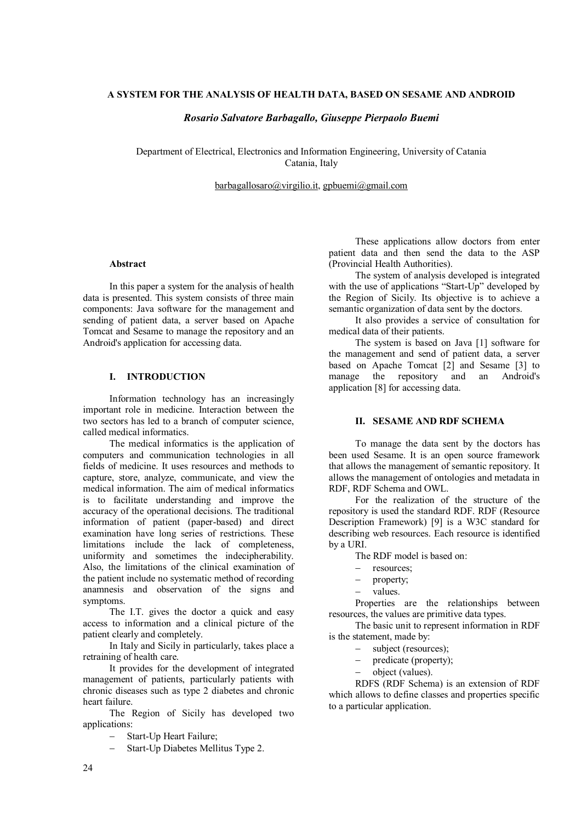## **A SYSTEM FOR THE ANALYSIS OF HEALTH DATA, BASED ON SESAME AND ANDROID**

#### *Rosario Salvatore Barbagallo, Giuseppe Pierpaolo Buemi*

Department of Electrical, Electronics and Information Engineering, University of Catania Catania, Italy

barbagallosaro@virgilio.it, gpbuemi@gmail.com

# **Abstract**

In this paper a system for the analysis of health data is presented. This system consists of three main components: Java software for the management and sending of patient data, a server based on Apache Tomcat and Sesame to manage the repository and an Android's application for accessing data.

### **I. INTRODUCTION**

Information technology has an increasingly important role in medicine. Interaction between the two sectors has led to a branch of computer science, called medical informatics.

The medical informatics is the application of computers and communication technologies in all fields of medicine. It uses resources and methods to capture, store, analyze, communicate, and view the medical information. The aim of medical informatics is to facilitate understanding and improve the accuracy of the operational decisions. The traditional information of patient (paper-based) and direct examination have long series of restrictions. These limitations include the lack of completeness, uniformity and sometimes the indecipherability. Also, the limitations of the clinical examination of the patient include no systematic method of recording anamnesis and observation of the signs and symptoms.

The I.T. gives the doctor a quick and easy access to information and a clinical picture of the patient clearly and completely.

In Italy and Sicily in particularly, takes place a retraining of health care.

It provides for the development of integrated management of patients, particularly patients with chronic diseases such as type 2 diabetes and chronic heart failure.

The Region of Sicily has developed two applications:

Start-Up Heart Failure;

Start-Up Diabetes Mellitus Type 2.

These applications allow doctors from enter patient data and then send the data to the ASP (Provincial Health Authorities).

The system of analysis developed is integrated with the use of applications "Start-Up" developed by the Region of Sicily. Its objective is to achieve a semantic organization of data sent by the doctors.

It also provides a service of consultation for medical data of their patients.

The system is based on Java [1] software for the management and send of patient data, a server based on Apache Tomcat [2] and Sesame [3] to manage the repository and an Android's application [8] for accessing data.

#### **II. SESAME AND RDF SCHEMA**

To manage the data sent by the doctors has been used Sesame. It is an open source framework that allows the management of semantic repository. It allows the management of ontologies and metadata in RDF, RDF Schema and OWL.

For the realization of the structure of the repository is used the standard RDF. RDF (Resource Description Framework) [9] is a W3C standard for describing web resources. Each resource is identified by a URI.

- The RDF model is based on:
- resources;
- property;
- values.

Properties are the relationships between resources, the values are primitive data types.

The basic unit to represent information in RDF is the statement, made by:

- subject (resources):
- predicate (property);
- object (values).

RDFS (RDF Schema) is an extension of RDF which allows to define classes and properties specific to a particular application.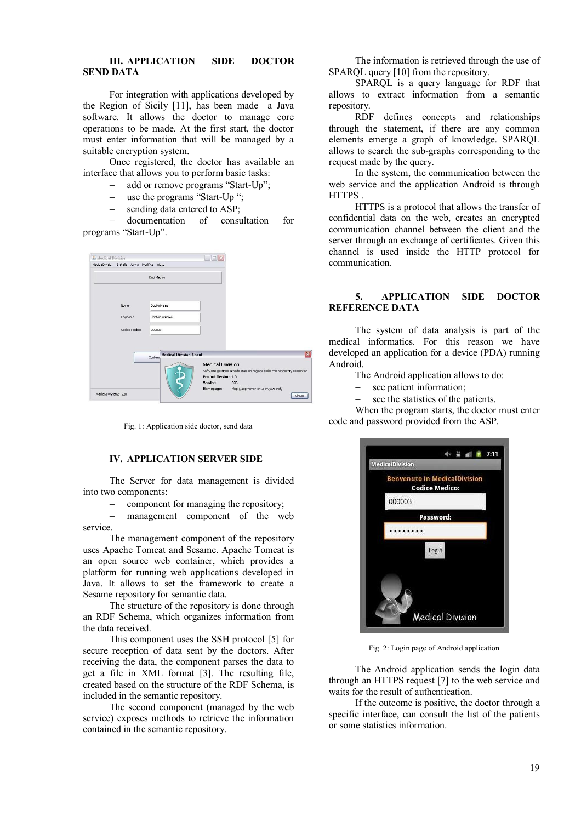### **III. APPLICATION SIDE DOCTOR SEND DATA**

For integration with applications developed by the Region of Sicily [11], has been made a Java software. It allows the doctor to manage core operations to be made. At the first start, the doctor must enter information that will be managed by a suitable encryption system.

Once registered, the doctor has available an interface that allows you to perform basic tasks:

- add or remove programs "Start-Up";
- use the programs "Start-Up ";
- sending data entered to ASP;

 documentation of consultation for programs "Start-Up".

| Medical Division<br>MedicalDivision Installa Avvia Modifica Aiuto |                                          | $-1$                                                                                                                                                                                                       |
|-------------------------------------------------------------------|------------------------------------------|------------------------------------------------------------------------------------------------------------------------------------------------------------------------------------------------------------|
|                                                                   | Dati Medico                              |                                                                                                                                                                                                            |
| <b>Nome</b>                                                       | <b>DoctorName</b>                        |                                                                                                                                                                                                            |
| Cognome                                                           | DoctorSurname                            |                                                                                                                                                                                                            |
| Codice Medico                                                     | 000003                                   |                                                                                                                                                                                                            |
|                                                                   | <b>Medical Division About</b><br>Confern | $\overline{\mathbf{x}}$                                                                                                                                                                                    |
|                                                                   |                                          | <b>Medical Division</b><br>Software gestione schede start up regione sicilia con repository semantico.<br><b>Product Version: 1.0</b><br>Vendor:<br>B2B.<br>http://appframework.dev.java.net/<br>Homepage: |
| MedicalDivision@ B2B                                              |                                          | Chiudi                                                                                                                                                                                                     |

Fig. 1: Application side doctor, send data

# **IV. APPLICATION SERVER SIDE**

The Server for data management is divided into two components:

component for managing the repository;

 management component of the web service.

The management component of the repository uses Apache Tomcat and Sesame. Apache Tomcat is an open source web container, which provides a platform for running web applications developed in Java. It allows to set the framework to create a Sesame repository for semantic data.

The structure of the repository is done through an RDF Schema, which organizes information from the data received.

This component uses the SSH protocol [5] for secure reception of data sent by the doctors. After receiving the data, the component parses the data to get a file in XML format [3]. The resulting file, created based on the structure of the RDF Schema, is included in the semantic repository.

The second component (managed by the web service) exposes methods to retrieve the information contained in the semantic repository.

The information is retrieved through the use of SPAROL query [10] from the repository.

SPARQL is a query language for RDF that allows to extract information from a semantic repository.

RDF defines concepts and relationships through the statement, if there are any common elements emerge a graph of knowledge. SPARQL allows to search the sub-graphs corresponding to the request made by the query.

In the system, the communication between the web service and the application Android is through HTTPS .

HTTPS is a protocol that allows the transfer of confidential data on the web, creates an encrypted communication channel between the client and the server through an exchange of certificates. Given this channel is used inside the HTTP protocol for communication.

## **5. APPLICATION SIDE DOCTOR REFERENCE DATA**

The system of data analysis is part of the medical informatics. For this reason we have developed an application for a device (PDA) running Android.

The Android application allows to do:

- see patient information;
- see the statistics of the patients.

When the program starts, the doctor must enter code and password provided from the ASP.



Fig. 2: Login page of Android application

The Android application sends the login data through an HTTPS request [7] to the web service and waits for the result of authentication.

If the outcome is positive, the doctor through a specific interface, can consult the list of the patients or some statistics information.